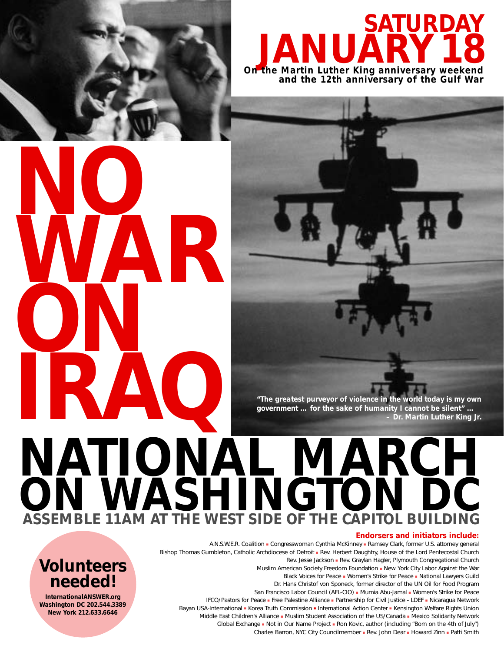

### **SATURDAY On the Martin Luther King anniversary weekend JANUARY18 and the 12th anniversary of the Gulf War**

**NO WAR ON IRAQ**

> **Volunteers needed! InternationalANSWER.org Washington DC 202.544.3389 New York 212.633.6646**

*"The greatest purveyor of violence in the world today is my own government … for the sake of humanity I cannot be silent" … – Dr. Martin Luther King Jr.*

# **NATIONAL MARCH ON WASHINGTON DC ASSEMBLE 11AM AT THE WEST SIDE OF THE CAPITOL BU**

#### **Endorsers and initiators include:**

A.N.S.W.E.R. Coalition ■ Congresswoman Cynthia McKinney ■ Ramsey Clark, former U.S. attorney general Bishop Thomas Gumbleton, Catholic Archdiocese of Detroit ■ Rev. Herbert Daughtry, House of the Lord Pentecostal Church Rev. Jesse Jackson ■ Rev. Graylan Hagler, Plymouth Congregational Church Muslim American Society Freedom Foundation ■ New York City Labor Against the War Black Voices for Peace ■ Women's Strike for Peace ■ National Lawyers Guild Dr. Hans Christof von Sponeck, former director of the UN Oil for Food Program San Francisco Labor Council (AFL-CIO) ■ Mumia Abu-Jamal ■ Women's Strike for Peace IFCO/Pastors for Peace ■ Free Palestine Alliance ■ Partnership for Civil Justice - LDEF ■ Nicaragua Network Bayan USA-International ■ Korea Truth Commission ■ International Action Center ■ Kensington Welfare Rights Union Middle East Children's Alliance ■ Muslim Student Association of the US/Canada ■ Mexico Solidarity Network Global Exchange ■ Not in Our Name Project ■ Ron Kovic, author (including "Born on the 4th of July") Charles Barron, NYC City Councilmember ■ Rev. John Dear ■ Howard Zinn ■ Patti Smith